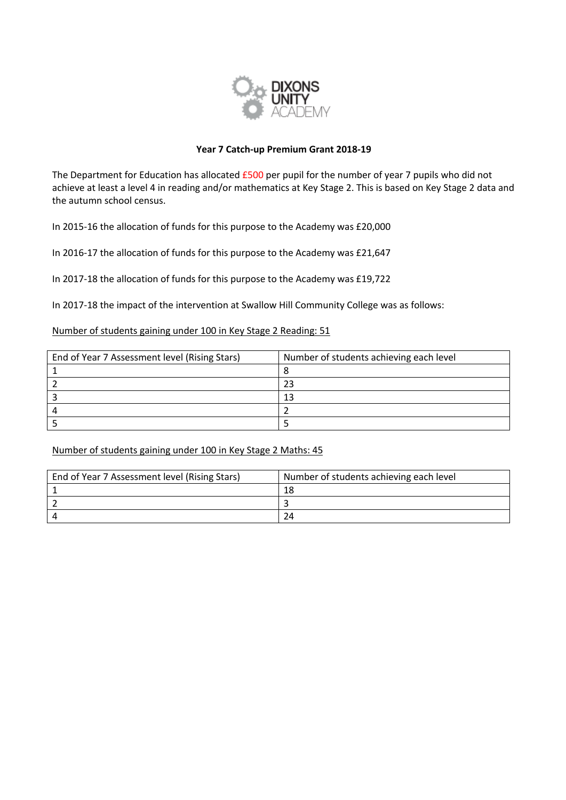

# **Year 7 Catch-up Premium Grant 2018-19**

The Department for Education has allocated £500 per pupil for the number of year 7 pupils who did not achieve at least a level 4 in reading and/or mathematics at Key Stage 2. This is based on Key Stage 2 data and the autumn school census.

In 2015-16 the allocation of funds for this purpose to the Academy was £20,000

In 2016-17 the allocation of funds for this purpose to the Academy was £21,647

In 2017-18 the allocation of funds for this purpose to the Academy was £19,722

In 2017-18 the impact of the intervention at Swallow Hill Community College was as follows:

# Number of students gaining under 100 in Key Stage 2 Reading: 51

| End of Year 7 Assessment level (Rising Stars) | Number of students achieving each level |  |  |
|-----------------------------------------------|-----------------------------------------|--|--|
|                                               |                                         |  |  |
|                                               |                                         |  |  |
|                                               | 13                                      |  |  |
|                                               |                                         |  |  |
|                                               |                                         |  |  |

Number of students gaining under 100 in Key Stage 2 Maths: 45

| End of Year 7 Assessment level (Rising Stars) | Number of students achieving each level |  |  |
|-----------------------------------------------|-----------------------------------------|--|--|
|                                               | 18                                      |  |  |
|                                               |                                         |  |  |
|                                               | 24                                      |  |  |